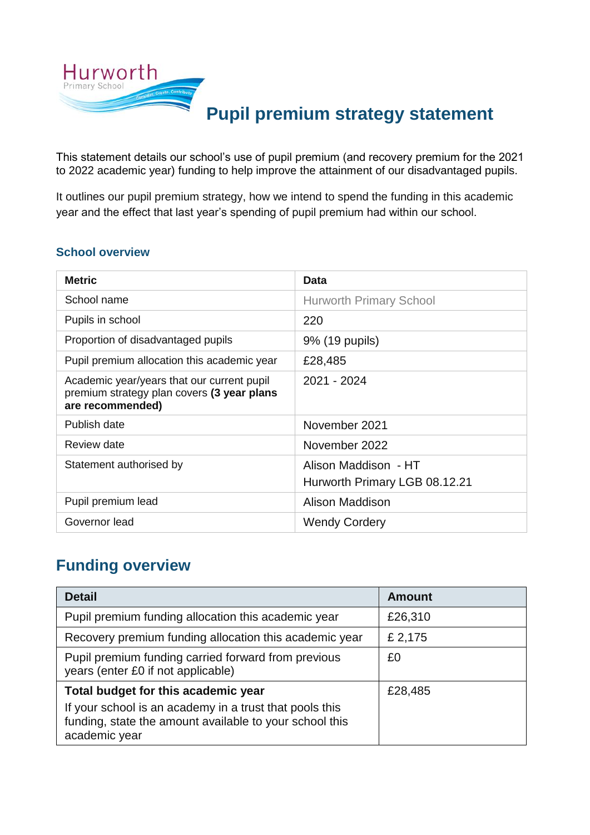

This statement details our school's use of pupil premium (and recovery premium for the 2021 to 2022 academic year) funding to help improve the attainment of our disadvantaged pupils.

It outlines our pupil premium strategy, how we intend to spend the funding in this academic year and the effect that last year's spending of pupil premium had within our school.

#### **School overview**

| <b>Metric</b>                                                                                                | Data                                                  |
|--------------------------------------------------------------------------------------------------------------|-------------------------------------------------------|
| School name                                                                                                  | <b>Hurworth Primary School</b>                        |
| Pupils in school                                                                                             | 220                                                   |
| Proportion of disadvantaged pupils                                                                           | 9% (19 pupils)                                        |
| Pupil premium allocation this academic year                                                                  | £28,485                                               |
| Academic year/years that our current pupil<br>premium strategy plan covers (3 year plans<br>are recommended) | 2021 - 2024                                           |
| Publish date                                                                                                 | November 2021                                         |
| Review date                                                                                                  | November 2022                                         |
| Statement authorised by                                                                                      | Alison Maddison - HT<br>Hurworth Primary LGB 08.12.21 |
| Pupil premium lead                                                                                           | Alison Maddison                                       |
| Governor lead                                                                                                | <b>Wendy Cordery</b>                                  |

#### **Funding overview**

| <b>Detail</b>                                                                                                                       | <b>Amount</b> |  |
|-------------------------------------------------------------------------------------------------------------------------------------|---------------|--|
| Pupil premium funding allocation this academic year                                                                                 | £26,310       |  |
| Recovery premium funding allocation this academic year                                                                              | £ 2,175       |  |
| Pupil premium funding carried forward from previous<br>years (enter £0 if not applicable)                                           | £0            |  |
| Total budget for this academic year                                                                                                 | £28,485       |  |
| If your school is an academy in a trust that pools this<br>funding, state the amount available to your school this<br>academic year |               |  |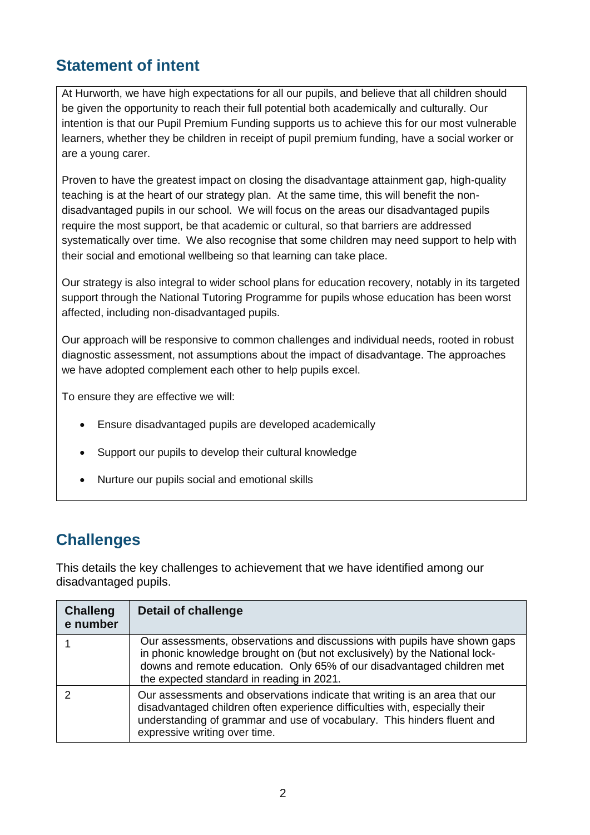### **Statement of intent**

At Hurworth, we have high expectations for all our pupils, and believe that all children should be given the opportunity to reach their full potential both academically and culturally. Our intention is that our Pupil Premium Funding supports us to achieve this for our most vulnerable learners, whether they be children in receipt of pupil premium funding, have a social worker or are a young carer.

Proven to have the greatest impact on closing the disadvantage attainment gap, high-quality teaching is at the heart of our strategy plan. At the same time, this will benefit the nondisadvantaged pupils in our school. We will focus on the areas our disadvantaged pupils require the most support, be that academic or cultural, so that barriers are addressed systematically over time. We also recognise that some children may need support to help with their social and emotional wellbeing so that learning can take place.

Our strategy is also integral to wider school plans for education recovery, notably in its targeted support through the National Tutoring Programme for pupils whose education has been worst affected, including non-disadvantaged pupils.

Our approach will be responsive to common challenges and individual needs, rooted in robust diagnostic assessment, not assumptions about the impact of disadvantage. The approaches we have adopted complement each other to help pupils excel.

To ensure they are effective we will:

- Ensure disadvantaged pupils are developed academically
- Support our pupils to develop their cultural knowledge
- Nurture our pupils social and emotional skills

#### **Challenges**

This details the key challenges to achievement that we have identified among our disadvantaged pupils.

| <b>Challeng</b><br>e number | <b>Detail of challenge</b>                                                                                                                                                                                                                                                     |
|-----------------------------|--------------------------------------------------------------------------------------------------------------------------------------------------------------------------------------------------------------------------------------------------------------------------------|
|                             | Our assessments, observations and discussions with pupils have shown gaps<br>in phonic knowledge brought on (but not exclusively) by the National lock-<br>downs and remote education. Only 65% of our disadvantaged children met<br>the expected standard in reading in 2021. |
|                             | Our assessments and observations indicate that writing is an area that our<br>disadvantaged children often experience difficulties with, especially their<br>understanding of grammar and use of vocabulary. This hinders fluent and<br>expressive writing over time.          |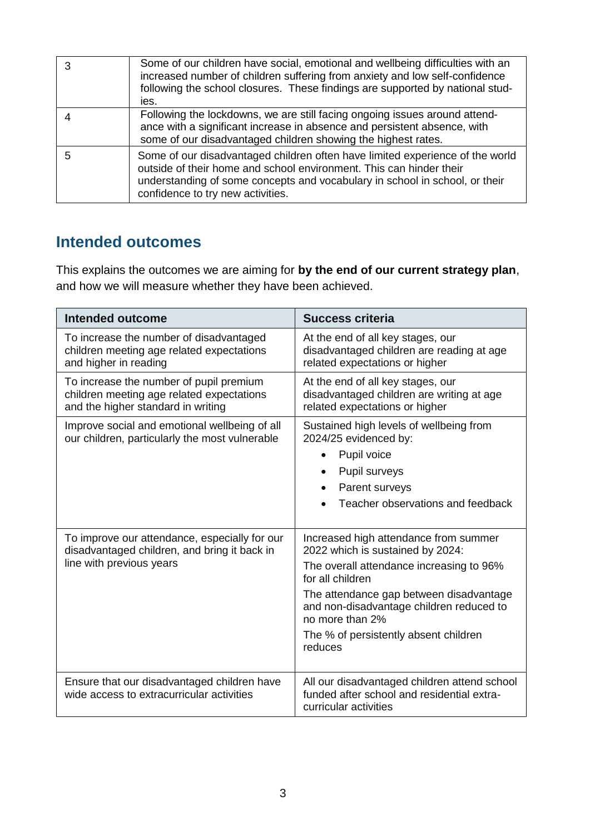|   | Some of our children have social, emotional and wellbeing difficulties with an<br>increased number of children suffering from anxiety and low self-confidence<br>following the school closures. These findings are supported by national stud-<br>ies.                   |
|---|--------------------------------------------------------------------------------------------------------------------------------------------------------------------------------------------------------------------------------------------------------------------------|
|   | Following the lockdowns, we are still facing ongoing issues around attend-<br>ance with a significant increase in absence and persistent absence, with<br>some of our disadvantaged children showing the highest rates.                                                  |
| 5 | Some of our disadvantaged children often have limited experience of the world<br>outside of their home and school environment. This can hinder their<br>understanding of some concepts and vocabulary in school in school, or their<br>confidence to try new activities. |

#### **Intended outcomes**

This explains the outcomes we are aiming for **by the end of our current strategy plan**, and how we will measure whether they have been achieved.

| <b>Intended outcome</b>                                                                                                    | <b>Success criteria</b>                                                                                                                                                                                                                                                                                 |
|----------------------------------------------------------------------------------------------------------------------------|---------------------------------------------------------------------------------------------------------------------------------------------------------------------------------------------------------------------------------------------------------------------------------------------------------|
| To increase the number of disadvantaged<br>children meeting age related expectations<br>and higher in reading              | At the end of all key stages, our<br>disadvantaged children are reading at age<br>related expectations or higher                                                                                                                                                                                        |
| To increase the number of pupil premium<br>children meeting age related expectations<br>and the higher standard in writing | At the end of all key stages, our<br>disadvantaged children are writing at age<br>related expectations or higher                                                                                                                                                                                        |
| Improve social and emotional wellbeing of all<br>our children, particularly the most vulnerable                            | Sustained high levels of wellbeing from<br>2024/25 evidenced by:<br>Pupil voice<br>$\bullet$<br>Pupil surveys<br>Parent surveys<br>Teacher observations and feedback                                                                                                                                    |
| To improve our attendance, especially for our<br>disadvantaged children, and bring it back in<br>line with previous years  | Increased high attendance from summer<br>2022 which is sustained by 2024:<br>The overall attendance increasing to 96%<br>for all children<br>The attendance gap between disadvantage<br>and non-disadvantage children reduced to<br>no more than 2%<br>The % of persistently absent children<br>reduces |
| Ensure that our disadvantaged children have<br>wide access to extracurricular activities                                   | All our disadvantaged children attend school<br>funded after school and residential extra-<br>curricular activities                                                                                                                                                                                     |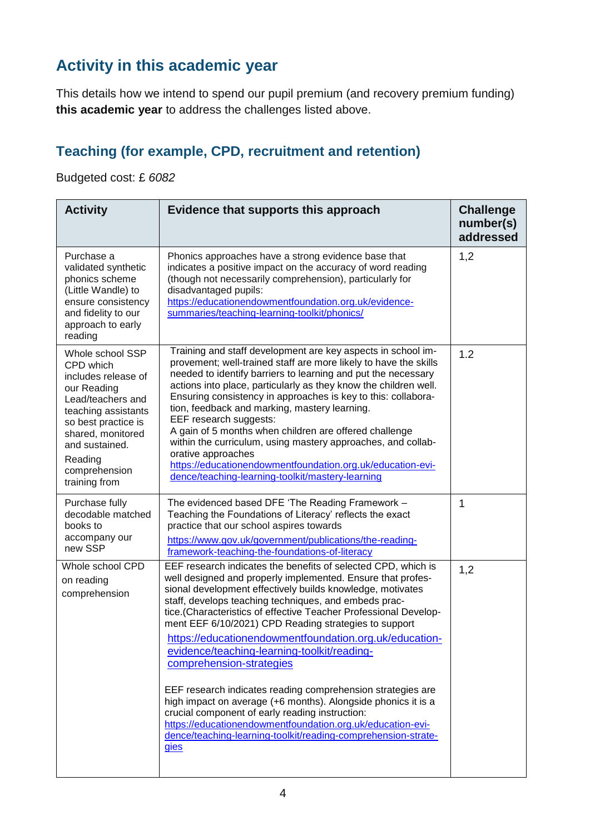# **Activity in this academic year**

This details how we intend to spend our pupil premium (and recovery premium funding) **this academic year** to address the challenges listed above.

#### **Teaching (for example, CPD, recruitment and retention)**

Budgeted cost: £ *6082* 

| <b>Activity</b>                                                                                                                                                                                                            | Evidence that supports this approach                                                                                                                                                                                                                                                                                                                                                                                                                                                                                                                                                                                                                                                                                                                                                                                                            | <b>Challenge</b><br>number(s)<br>addressed |
|----------------------------------------------------------------------------------------------------------------------------------------------------------------------------------------------------------------------------|-------------------------------------------------------------------------------------------------------------------------------------------------------------------------------------------------------------------------------------------------------------------------------------------------------------------------------------------------------------------------------------------------------------------------------------------------------------------------------------------------------------------------------------------------------------------------------------------------------------------------------------------------------------------------------------------------------------------------------------------------------------------------------------------------------------------------------------------------|--------------------------------------------|
| Purchase a<br>validated synthetic<br>phonics scheme<br>(Little Wandle) to<br>ensure consistency<br>and fidelity to our<br>approach to early<br>reading                                                                     | Phonics approaches have a strong evidence base that<br>indicates a positive impact on the accuracy of word reading<br>(though not necessarily comprehension), particularly for<br>disadvantaged pupils:<br>https://educationendowmentfoundation.org.uk/evidence-<br>summaries/teaching-learning-toolkit/phonics/                                                                                                                                                                                                                                                                                                                                                                                                                                                                                                                                | 1,2                                        |
| Whole school SSP<br>CPD which<br>includes release of<br>our Reading<br>Lead/teachers and<br>teaching assistants<br>so best practice is<br>shared, monitored<br>and sustained.<br>Reading<br>comprehension<br>training from | Training and staff development are key aspects in school im-<br>provement; well-trained staff are more likely to have the skills<br>needed to identify barriers to learning and put the necessary<br>actions into place, particularly as they know the children well.<br>Ensuring consistency in approaches is key to this: collabora-<br>tion, feedback and marking, mastery learning.<br>EEF research suggests:<br>A gain of 5 months when children are offered challenge<br>within the curriculum, using mastery approaches, and collab-<br>orative approaches<br>https://educationendowmentfoundation.org.uk/education-evi-<br>dence/teaching-learning-toolkit/mastery-learning                                                                                                                                                             | 1.2                                        |
| Purchase fully<br>decodable matched<br>books to<br>accompany our<br>new SSP                                                                                                                                                | The evidenced based DFE 'The Reading Framework -<br>Teaching the Foundations of Literacy' reflects the exact<br>practice that our school aspires towards<br>https://www.gov.uk/government/publications/the-reading-<br>framework-teaching-the-foundations-of-literacy                                                                                                                                                                                                                                                                                                                                                                                                                                                                                                                                                                           | 1                                          |
| Whole school CPD<br>on reading<br>comprehension                                                                                                                                                                            | EEF research indicates the benefits of selected CPD, which is<br>well designed and properly implemented. Ensure that profes-<br>sional development effectively builds knowledge, motivates<br>staff, develops teaching techniques, and embeds prac-<br>tice.(Characteristics of effective Teacher Professional Develop-<br>ment EEF 6/10/2021) CPD Reading strategies to support<br>https://educationendowmentfoundation.org.uk/education-<br>evidence/teaching-learning-toolkit/reading-<br>comprehension-strategies<br>EEF research indicates reading comprehension strategies are<br>high impact on average (+6 months). Alongside phonics it is a<br>crucial component of early reading instruction:<br>https://educationendowmentfoundation.org.uk/education-evi-<br>dence/teaching-learning-toolkit/reading-comprehension-strate-<br>gies | 1,2                                        |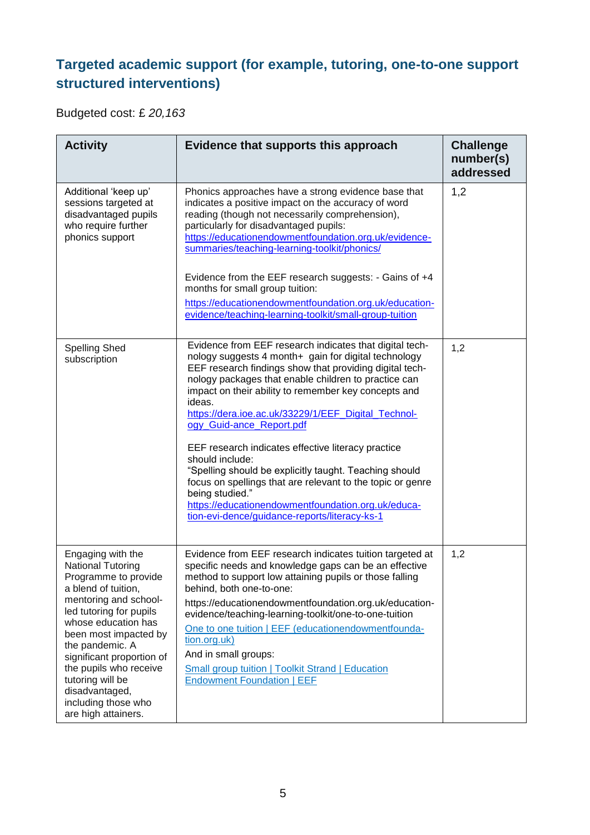#### **Targeted academic support (for example, tutoring, one-to-one support structured interventions)**

Budgeted cost: £ *20,163*

| <b>Activity</b>                                                                                                                                                                                                                                                                                                                                                | Evidence that supports this approach                                                                                                                                                                                                                                                                                                                                                                                                                                                                                                                                                                                                                                                                               | <b>Challenge</b><br>number(s)<br>addressed |
|----------------------------------------------------------------------------------------------------------------------------------------------------------------------------------------------------------------------------------------------------------------------------------------------------------------------------------------------------------------|--------------------------------------------------------------------------------------------------------------------------------------------------------------------------------------------------------------------------------------------------------------------------------------------------------------------------------------------------------------------------------------------------------------------------------------------------------------------------------------------------------------------------------------------------------------------------------------------------------------------------------------------------------------------------------------------------------------------|--------------------------------------------|
| Additional 'keep up'<br>sessions targeted at<br>disadvantaged pupils<br>who require further<br>phonics support                                                                                                                                                                                                                                                 | Phonics approaches have a strong evidence base that<br>indicates a positive impact on the accuracy of word<br>reading (though not necessarily comprehension),<br>particularly for disadvantaged pupils:<br>https://educationendowmentfoundation.org.uk/evidence-<br>summaries/teaching-learning-toolkit/phonics/                                                                                                                                                                                                                                                                                                                                                                                                   | 1,2                                        |
|                                                                                                                                                                                                                                                                                                                                                                | Evidence from the EEF research suggests: - Gains of +4<br>months for small group tuition:<br>https://educationendowmentfoundation.org.uk/education-<br>evidence/teaching-learning-toolkit/small-group-tuition                                                                                                                                                                                                                                                                                                                                                                                                                                                                                                      |                                            |
| <b>Spelling Shed</b><br>subscription                                                                                                                                                                                                                                                                                                                           | Evidence from EEF research indicates that digital tech-<br>nology suggests 4 month+ gain for digital technology<br>EEF research findings show that providing digital tech-<br>nology packages that enable children to practice can<br>impact on their ability to remember key concepts and<br>ideas.<br>https://dera.ioe.ac.uk/33229/1/EEF Digital Technol-<br>ogy Guid-ance Report.pdf<br>EEF research indicates effective literacy practice<br>should include:<br>"Spelling should be explicitly taught. Teaching should<br>focus on spellings that are relevant to the topic or genre<br>being studied."<br>https://educationendowmentfoundation.org.uk/educa-<br>tion-evi-dence/guidance-reports/literacy-ks-1 | 1,2                                        |
| Engaging with the<br><b>National Tutoring</b><br>Programme to provide<br>a blend of tuition,<br>mentoring and school-<br>led tutoring for pupils<br>whose education has<br>been most impacted by<br>the pandemic. A<br>significant proportion of<br>the pupils who receive<br>tutoring will be<br>disadvantaged,<br>including those who<br>are high attainers. | Evidence from EEF research indicates tuition targeted at<br>specific needs and knowledge gaps can be an effective<br>method to support low attaining pupils or those falling<br>behind, both one-to-one:<br>https://educationendowmentfoundation.org.uk/education-<br>evidence/teaching-learning-toolkit/one-to-one-tuition<br>One to one tuition   EEF (educationendowmentfounda-<br>tion.org.uk)<br>And in small groups:<br><b>Small group tuition   Toolkit Strand   Education</b><br><b>Endowment Foundation   EEF</b>                                                                                                                                                                                         | 1,2                                        |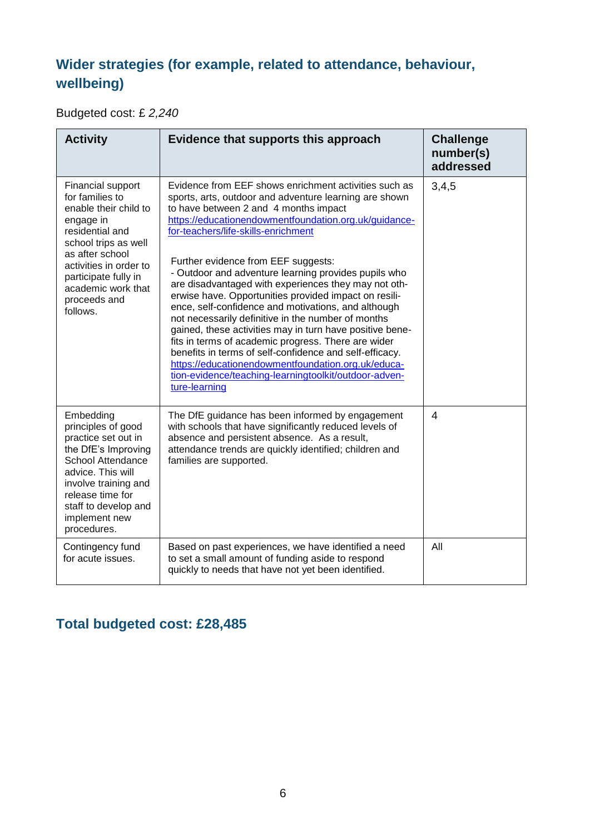#### **Wider strategies (for example, related to attendance, behaviour, wellbeing)**

Budgeted cost: £ *2,240*

| <b>Activity</b>                                                                                                                                                                                                                              | Evidence that supports this approach                                                                                                                                                                                                                                                                                                                                                                                                                                                                                                                                                                                                                                                                                                                                                                                                                                                                | <b>Challenge</b><br>number(s)<br>addressed |
|----------------------------------------------------------------------------------------------------------------------------------------------------------------------------------------------------------------------------------------------|-----------------------------------------------------------------------------------------------------------------------------------------------------------------------------------------------------------------------------------------------------------------------------------------------------------------------------------------------------------------------------------------------------------------------------------------------------------------------------------------------------------------------------------------------------------------------------------------------------------------------------------------------------------------------------------------------------------------------------------------------------------------------------------------------------------------------------------------------------------------------------------------------------|--------------------------------------------|
| Financial support<br>for families to<br>enable their child to<br>engage in<br>residential and<br>school trips as well<br>as after school<br>activities in order to<br>participate fully in<br>academic work that<br>proceeds and<br>follows. | Evidence from EEF shows enrichment activities such as<br>sports, arts, outdoor and adventure learning are shown<br>to have between 2 and 4 months impact<br>https://educationendowmentfoundation.org.uk/guidance-<br>for-teachers/life-skills-enrichment<br>Further evidence from EEF suggests:<br>- Outdoor and adventure learning provides pupils who<br>are disadvantaged with experiences they may not oth-<br>erwise have. Opportunities provided impact on resili-<br>ence, self-confidence and motivations, and although<br>not necessarily definitive in the number of months<br>gained, these activities may in turn have positive bene-<br>fits in terms of academic progress. There are wider<br>benefits in terms of self-confidence and self-efficacy.<br>https://educationendowmentfoundation.org.uk/educa-<br>tion-evidence/teaching-learningtoolkit/outdoor-adven-<br>ture-learning | 3,4,5                                      |
| Embedding<br>principles of good<br>practice set out in<br>the DfE's Improving<br>School Attendance<br>advice. This will<br>involve training and<br>release time for<br>staff to develop and<br>implement new<br>procedures.                  | The DfE guidance has been informed by engagement<br>with schools that have significantly reduced levels of<br>absence and persistent absence. As a result,<br>attendance trends are quickly identified; children and<br>families are supported.                                                                                                                                                                                                                                                                                                                                                                                                                                                                                                                                                                                                                                                     | $\overline{4}$                             |
| Contingency fund<br>for acute issues.                                                                                                                                                                                                        | Based on past experiences, we have identified a need<br>to set a small amount of funding aside to respond<br>quickly to needs that have not yet been identified.                                                                                                                                                                                                                                                                                                                                                                                                                                                                                                                                                                                                                                                                                                                                    | All                                        |

#### **Total budgeted cost: £28,485**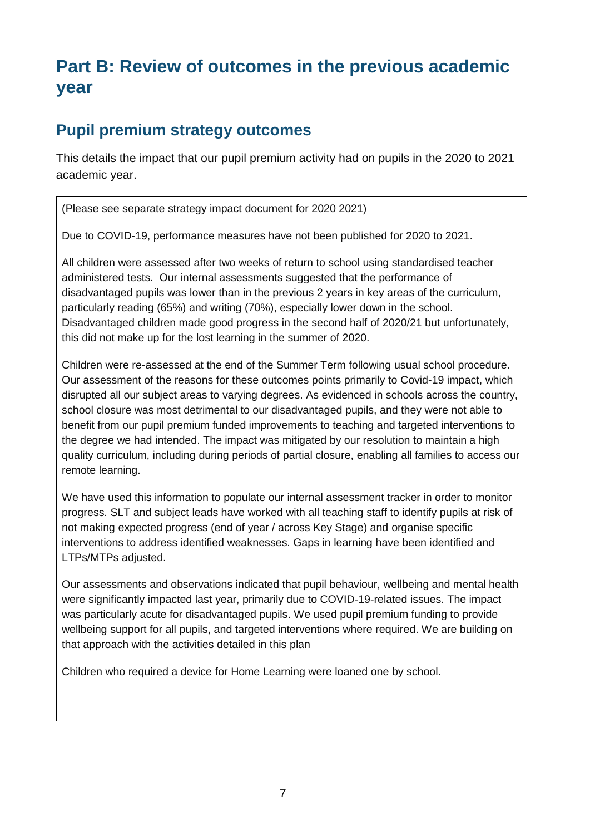# **Part B: Review of outcomes in the previous academic year**

#### **Pupil premium strategy outcomes**

This details the impact that our pupil premium activity had on pupils in the 2020 to 2021 academic year.

(Please see separate strategy impact document for 2020 2021)

Due to COVID-19, performance measures have not been published for 2020 to 2021.

All children were assessed after two weeks of return to school using standardised teacher administered tests. Our internal assessments suggested that the performance of disadvantaged pupils was lower than in the previous 2 years in key areas of the curriculum, particularly reading (65%) and writing (70%), especially lower down in the school. Disadvantaged children made good progress in the second half of 2020/21 but unfortunately, this did not make up for the lost learning in the summer of 2020.

Children were re-assessed at the end of the Summer Term following usual school procedure. Our assessment of the reasons for these outcomes points primarily to Covid-19 impact, which disrupted all our subject areas to varying degrees. As evidenced in schools across the country, school closure was most detrimental to our disadvantaged pupils, and they were not able to benefit from our pupil premium funded improvements to teaching and targeted interventions to the degree we had intended. The impact was mitigated by our resolution to maintain a high quality curriculum, including during periods of partial closure, enabling all families to access our remote learning.

We have used this information to populate our internal assessment tracker in order to monitor progress. SLT and subject leads have worked with all teaching staff to identify pupils at risk of not making expected progress (end of year / across Key Stage) and organise specific interventions to address identified weaknesses. Gaps in learning have been identified and LTPs/MTPs adjusted.

Our assessments and observations indicated that pupil behaviour, wellbeing and mental health were significantly impacted last year, primarily due to COVID-19-related issues. The impact was particularly acute for disadvantaged pupils. We used pupil premium funding to provide wellbeing support for all pupils, and targeted interventions where required. We are building on that approach with the activities detailed in this plan

Children who required a device for Home Learning were loaned one by school.